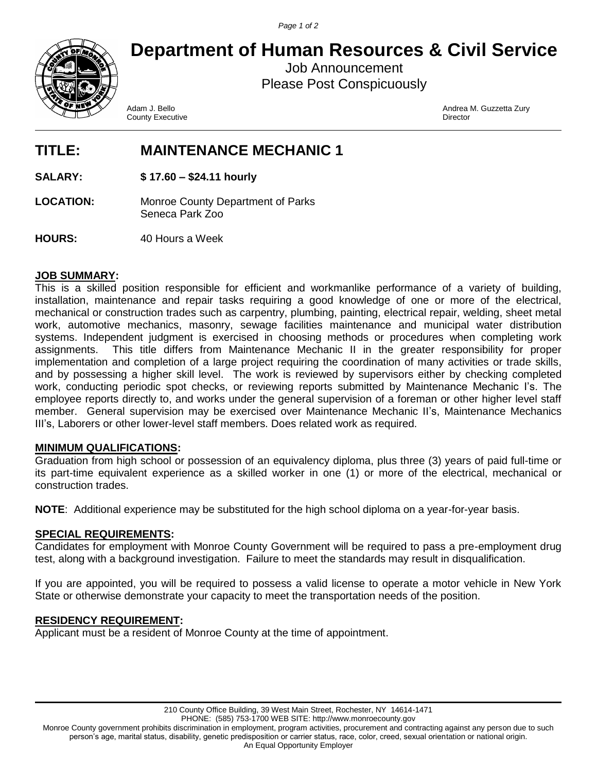*Page 1 of 2*



**Department of Human Resources & Civil Service**

Job Announcement Please Post Conspicuously

County Executive

Adam J. Bello Andrea M. Guzzetta Zury

# **TITLE: MAINTENANCE MECHANIC 1**

**SALARY: \$ 17.60 – \$24.11 hourly**

**LOCATION:** Monroe County Department of Parks Seneca Park Zoo

**HOURS:** 40 Hours a Week

### **JOB SUMMARY:**

This is a skilled position responsible for efficient and workmanlike performance of a variety of building, installation, maintenance and repair tasks requiring a good knowledge of one or more of the electrical, mechanical or construction trades such as carpentry, plumbing, painting, electrical repair, welding, sheet metal work, automotive mechanics, masonry, sewage facilities maintenance and municipal water distribution systems. Independent judgment is exercised in choosing methods or procedures when completing work assignments. This title differs from Maintenance Mechanic II in the greater responsibility for proper implementation and completion of a large project requiring the coordination of many activities or trade skills, and by possessing a higher skill level. The work is reviewed by supervisors either by checking completed work, conducting periodic spot checks, or reviewing reports submitted by Maintenance Mechanic I's. The employee reports directly to, and works under the general supervision of a foreman or other higher level staff member. General supervision may be exercised over Maintenance Mechanic II's, Maintenance Mechanics III's, Laborers or other lower-level staff members. Does related work as required.

### **MINIMUM QUALIFICATIONS:**

Graduation from high school or possession of an equivalency diploma, plus three (3) years of paid full-time or its part-time equivalent experience as a skilled worker in one (1) or more of the electrical, mechanical or construction trades.

**NOTE**: Additional experience may be substituted for the high school diploma on a year-for-year basis.

### **SPECIAL REQUIREMENTS:**

Candidates for employment with Monroe County Government will be required to pass a pre-employment drug test, along with a background investigation. Failure to meet the standards may result in disqualification.

If you are appointed, you will be required to possess a valid license to operate a motor vehicle in New York State or otherwise demonstrate your capacity to meet the transportation needs of the position.

### **RESIDENCY REQUIREMENT:**

Applicant must be a resident of Monroe County at the time of appointment.